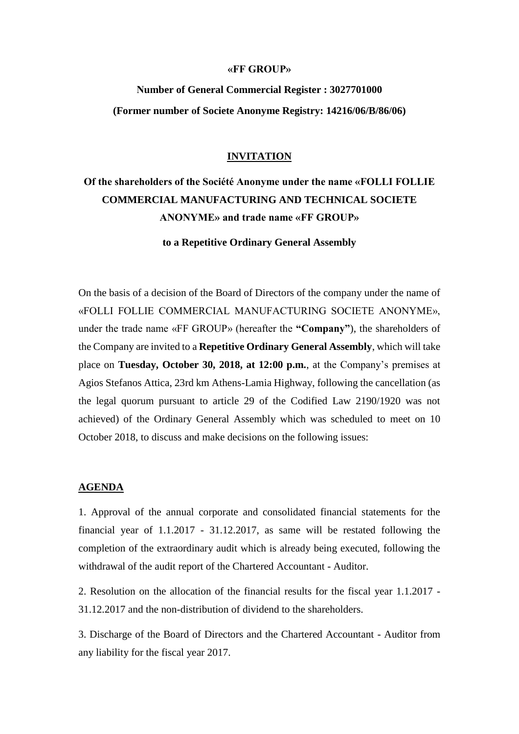## **«FF GROUP»**

# **Νumber of General Commercial Register : 3027701000 (Former number οf Societe Anonyme Registry: 14216/06/B/86/06)**

# **INVITATION**

# **Οf the shareholders of the Société Anonyme under the name «FOLLI FOLLIE COMMERCIAL MANUFACTURING AND TECHNICAL SOCIETE ANONYME» and trade name «FF GROUP»**

**to a Repetitive Ordinary General Assembly**

On the basis of a decision of the Board of Directors of the company under the name of «FOLLI FOLLIE COMMERCIAL MANUFACTURING SOCIETE ANONYME», under the trade name «FF GROUP» (hereafter the **"Company"**), the shareholders of the Company are invited to a **Repetitive Ordinary General Assembly**, which will take place on **Tuesday, October 30, 2018, at 12:00 p.m.**, at the Company's premises at Agios Stefanos Attica, 23rd km Athens-Lamia Highway, following the cancellation (as the legal quorum pursuant to article 29 of the Codified Law 2190/1920 was not achieved) of the Ordinary General Assembly which was scheduled to meet on 10 October 2018, to discuss and make decisions on the following issues:

### **AGENDA**

1. Approval of the annual corporate and consolidated financial statements for the financial year of 1.1.2017 - 31.12.2017, as same will be restated following the completion of the extraordinary audit which is already being executed, following the withdrawal of the audit report of the Chartered Accountant - Auditor.

2. Resolution on the allocation of the financial results for the fiscal year 1.1.2017 - 31.12.2017 and the non-distribution of dividend to the shareholders.

3. Discharge of the Board of Directors and the Chartered Accountant - Auditor from any liability for the fiscal year 2017.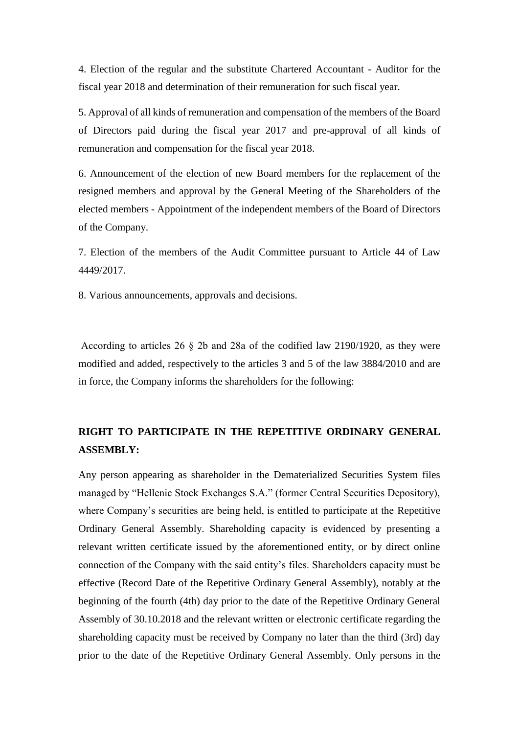4. Election of the regular and the substitute Chartered Accountant - Auditor for the fiscal year 2018 and determination of their remuneration for such fiscal year.

5. Approval of all kinds of remuneration and compensation of the members of the Board of Directors paid during the fiscal year 2017 and pre-approval of all kinds of remuneration and compensation for the fiscal year 2018.

6. Announcement of the election of new Board members for the replacement of the resigned members and approval by the General Meeting of the Shareholders of the elected members - Appointment of the independent members of the Board of Directors of the Company.

7. Election of the members of the Audit Committee pursuant to Article 44 of Law 4449/2017.

8. Various announcements, approvals and decisions.

According to articles 26 § 2b and 28a οf the codified law 2190/1920, as they were modified and added, respectively to the articles 3 and 5 of the law 3884/2010 and are in force, the Company informs the shareholders for the following:

# **RIGHT TO PARTICIPATE IN THE REPETITIVE ORDINARY GENERAL ASSEMBLY:**

Any person appearing as shareholder in the Dematerialized Securities System files managed by "Hellenic Stock Exchanges S.A." (former Central Securities Depository), where Company's securities are being held, is entitled to participate at the Repetitive Ordinary General Assembly. Shareholding capacity is evidenced by presenting a relevant written certificate issued by the aforementioned entity, or by direct online connection of the Company with the said entity's files. Shareholders capacity must be effective (Record Date of the Repetitive Ordinary General Assembly), notably at the beginning of the fourth (4th) day prior to the date of the Repetitive Ordinary General Assembly of 30.10.2018 and the relevant written or electronic certificate regarding the shareholding capacity must be received by Company no later than the third (3rd) day prior to the date of the Repetitive Ordinary General Assembly. Only persons in the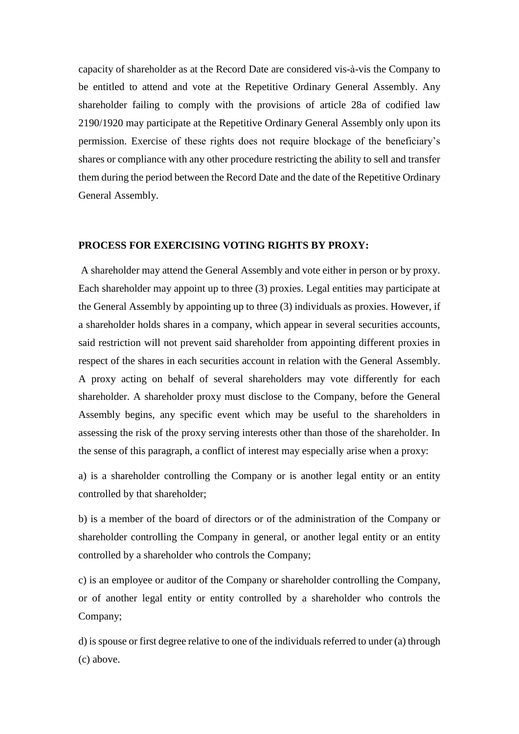capacity of shareholder as at the Record Date are considered vis-à-vis the Company to be entitled to attend and vote at the Repetitive Ordinary General Assembly. Any shareholder failing to comply with the provisions of article 28a of codified law 2190/1920 may participate at the Repetitive Ordinary General Assembly only upon its permission. Exercise of these rights does not require blockage of the beneficiary's shares or compliance with any other procedure restricting the ability to sell and transfer them during the period between the Record Date and the date of the Repetitive Ordinary General Assembly.

# **PROCESS FOR EXERCISING VOTING RIGHTS BY PROXY:**

A shareholder may attend the General Assembly and vote either in person or by proxy. Each shareholder may appoint up to three (3) proxies. Legal entities may participate at the General Assembly by appointing up to three (3) individuals as proxies. However, if a shareholder holds shares in a company, which appear in several securities accounts, said restriction will not prevent said shareholder from appointing different proxies in respect of the shares in each securities account in relation with the General Assembly. A proxy acting on behalf of several shareholders may vote differently for each shareholder. A shareholder proxy must disclose to the Company, before the General Assembly begins, any specific event which may be useful to the shareholders in assessing the risk of the proxy serving interests other than those of the shareholder. In the sense of this paragraph, a conflict of interest may especially arise when a proxy:

a) is a shareholder controlling the Company or is another legal entity or an entity controlled by that shareholder;

b) is a member of the board of directors or of the administration of the Company or shareholder controlling the Company in general, or another legal entity or an entity controlled by a shareholder who controls the Company;

c) is an employee or auditor of the Company or shareholder controlling the Company, or of another legal entity or entity controlled by a shareholder who controls the Company;

d) is spouse or first degree relative to one of the individuals referred to under (a) through (c) above.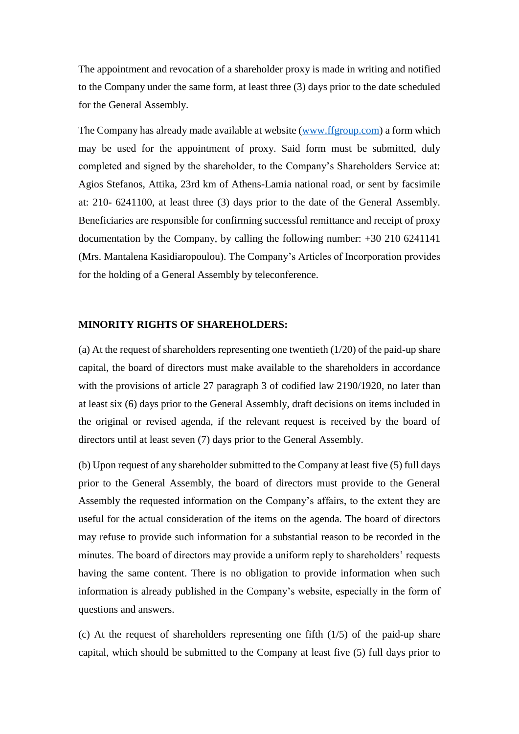The appointment and revocation of a shareholder proxy is made in writing and notified to the Company under the same form, at least three (3) days prior to the date scheduled for the General Assembly.

The Company has already made available at website [\(www.ffgroup.com\)](http://www.ffgroup.com/) a form which may be used for the appointment of proxy. Said form must be submitted, duly completed and signed by the shareholder, to the Company's Shareholders Service at: Agios Stefanos, Attika, 23rd km of Athens-Lamia national road, or sent by facsimile at: 210- 6241100, at least three (3) days prior to the date of the General Assembly. Beneficiaries are responsible for confirming successful remittance and receipt of proxy documentation by the Company, by calling the following number: +30 210 6241141 (Mrs. Mantalena Kasidiaropoulou). The Company's Articles of Incorporation provides for the holding of a General Assembly by teleconference.

## **MINORITY RIGHTS OF SHAREHOLDERS:**

(a) At the request of shareholders representing one twentieth  $(1/20)$  of the paid-up share capital, the board of directors must make available to the shareholders in accordance with the provisions of article 27 paragraph 3 of codified law 2190/1920, no later than at least six (6) days prior to the General Assembly, draft decisions on items included in the original or revised agenda, if the relevant request is received by the board of directors until at least seven (7) days prior to the General Assembly.

(b) Upon request of any shareholder submitted to the Company at least five (5) full days prior to the General Assembly, the board of directors must provide to the General Assembly the requested information on the Company's affairs, to the extent they are useful for the actual consideration of the items on the agenda. The board of directors may refuse to provide such information for a substantial reason to be recorded in the minutes. The board of directors may provide a uniform reply to shareholders' requests having the same content. There is no obligation to provide information when such information is already published in the Company's website, especially in the form of questions and answers.

(c) At the request of shareholders representing one fifth (1/5) of the paid-up share capital, which should be submitted to the Company at least five (5) full days prior to